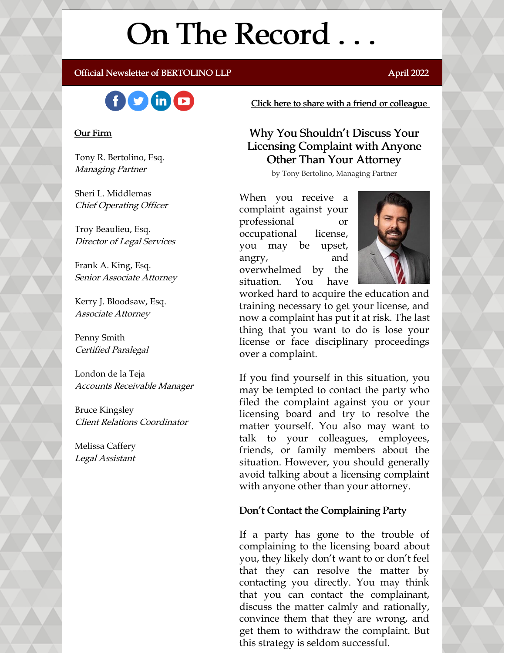# On The Record . . .

#### Official Newsletter of BERTOLINO LLP **April 2022** April 2022



#### Our Firm

Tony R. Bertolino, Esq. Managing Partner

Sheri L. Middlemas Chief Operating Officer

Troy Beaulieu, Esq. Director of Legal Services

Frank A. King, Esq. Senior Associate Attorney

Kerry J. Bloodsaw, Esq. Associate Attorney

Penny Smith Certified Paralegal

London de la Teja Accounts Receivable Manager

Bruce Kingsley Client Relations Coordinator

Melissa Caffery Legal Assistant Click here to share with a friend or [colleague](https://visitor.r20.constantcontact.com/manage/optin?v=001xvcZBIZGArRYZxP_ENhTFsnPqgcrAHF_8FAGh0C6OoU_TYzgqPeo9kiI5F5Vb-xdZP7jClYZWX2ttQp6Q7JygJ1sq0DH9MDHJwjzNoREDc4=)

#### Why You Shouldn't Discuss Your Licensing Complaint with Anyone Other Than Your Attorney

by Tony Bertolino, Managing Partner

When you receive a complaint against your professional or occupational license, you may be upset, angry, and overwhelmed by the situation. You have



worked hard to acquire the education and training necessary to get your license, and now a complaint has put it at risk. The last thing that you want to do is lose your license or face disciplinary proceedings over a complaint.

If you find yourself in this situation, you may be tempted to contact the party who filed the complaint against you or your licensing board and try to resolve the matter yourself. You also may want to talk to your colleagues, employees, friends, or family members about the situation. However, you should generally avoid talking about a licensing complaint with anyone other than your attorney.

#### Don't Contact the Complaining Party

If a party has gone to the trouble of complaining to the licensing board about you, they likely don't want to or don't feel that they can resolve the matter by contacting you directly. You may think that you can contact the complainant, discuss the matter calmly and rationally, convince them that they are wrong, and get them to withdraw the complaint. But this strategy is seldom successful.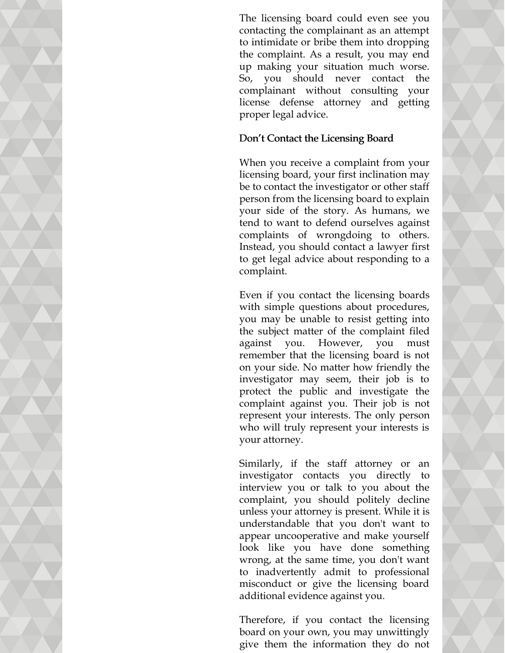The licensing board could even see you contacting the complainant as an attempt to intimidate or bribe them into dropping the complaint. As a result, you may end up making your situation much worse. So, you should never contact the complainant without consulting your license defense attorney and getting proper legal advice.

#### Don't Contact the Licensing Board

When you receive a complaint from your licensing board, your first inclination may be to contact the investigator or other staff person from the licensing board to explain your side of the story. As humans, we tend to want to defend ourselves against complaints of wrongdoing to others. Instead, you should contact a lawyer first to get legal advice about responding to a complaint.

Even if you contact the licensing boards with simple questions about procedures, you may be unable to resist getting into the subject matter of the complaint filed against you. However, you must remember that the licensing board is not on your side. No matter how friendly the investigator may seem, their job is to protect the public and investigate the complaint against you. Their job is not represent your interests. The only person who will truly represent your interests is your attorney.

Similarly, if the staff attorney or an investigator contacts you directly to interview you or talk to you about the complaint, you should politely decline unless your attorney is present. While it is understandable that you don't want to appear uncooperative and make yourself look like you have done something wrong, at the same time, you don't want to inadvertently admit to professional misconduct or give the licensing board additional evidence against you.

Therefore, if you contact the licensing board on your own, you may unwittingly give them the information they do not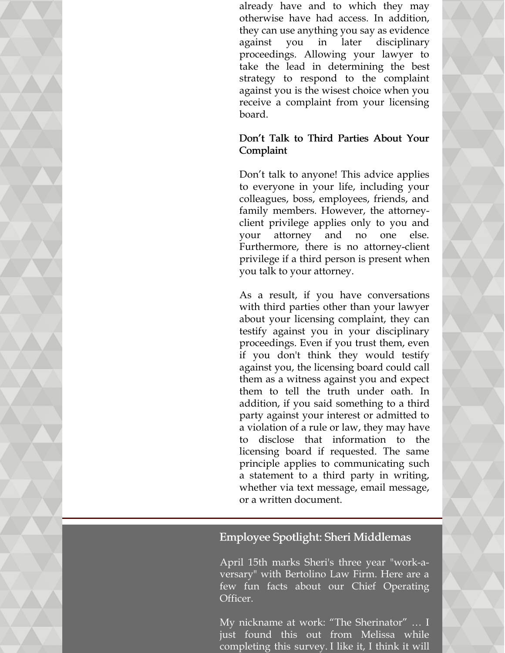already have and to which they may otherwise have had access. In addition, they can use anything you say as evidence against you in later disciplinary proceedings. Allowing your lawyer to take the lead in determining the best strategy to respond to the complaint against you is the wisest choice when you receive a complaint from your licensing board.

#### Don't Talk to Third Parties About Your Complaint

Don't talk to anyone! This advice applies to everyone in your life, including your colleagues, boss, employees, friends, and family members. However, the attorneyclient privilege applies only to you and your attorney and no one else. Furthermore, there is no attorney-client privilege if a third person is present when you talk to your attorney.

As a result, if you have conversations with third parties other than your lawyer about your licensing complaint, they can testify against you in your disciplinary proceedings. Even if you trust them, even if you don't think they would testify against you, the licensing board could call them as a witness against you and expect them to tell the truth under oath. In addition, if you said something to a third party against your interest or admitted to a violation of a rule or law, they may have to disclose that information to the licensing board if requested. The same principle applies to communicating such a statement to a third party in writing, whether via text message, email message, or a written document.

#### Employee Spotlight: Sheri Middlemas

April 15th marks Sheri's three year "work-aversary" with Bertolino Law Firm. Here are a few fun facts about our Chief Operating Officer.

My nickname at work: "The Sherinator" … I just found this out from Melissa while completing this survey. I like it, I think it will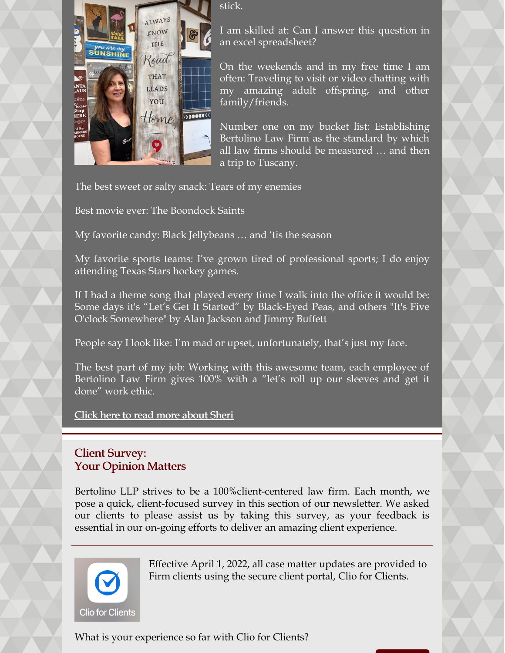

stick.

I am skilled at: Can I answer this question in an excel spreadsheet?

On the weekends and in my free time I am often: Traveling to visit or video chatting with my amazing adult offspring, and other family/friends.

Number one on my bucket list: Establishing Bertolino Law Firm as the standard by which all law firms should be measured … and then a trip to Tuscany.

The best sweet or salty snack: Tears of my enemies

Best movie ever: The Boondock Saints

My favorite candy: Black Jellybeans … and 'tis the season

My favorite sports teams: I've grown tired of professional sports; I do enjoy attending Texas Stars hockey games.

If I had a theme song that played every time I walk into the office it would be: Some days it's "Let's Get It Started" by Black-Eyed Peas, and others "It's Five O'clock Somewhere" by Alan Jackson and Jimmy Buffett

People say I look like: I'm mad or upset, unfortunately, that's just my face.

The best part of my job: Working with this awesome team, each employee of Bertolino Law Firm gives 100% with a "let's roll up our sleeves and get it done" work ethic.

Click here to read more [about](https://www.belolaw.com/about/#sheri) Sheri

### Client Survey: Your Opinion Matters

Bertolino LLP strives to be a 100%client-centered law firm. Each month, we pose a quick, client-focused survey in this section of our newsletter. We asked our clients to please assist us by taking this survey, as your feedback is essential in our on-going efforts to deliver an amazing client experience.



Effective April 1, 2022, all case matter updates are provided to Firm clients using the secure client portal, Clio for Clients.

What is your experience so far with Clio for Clients?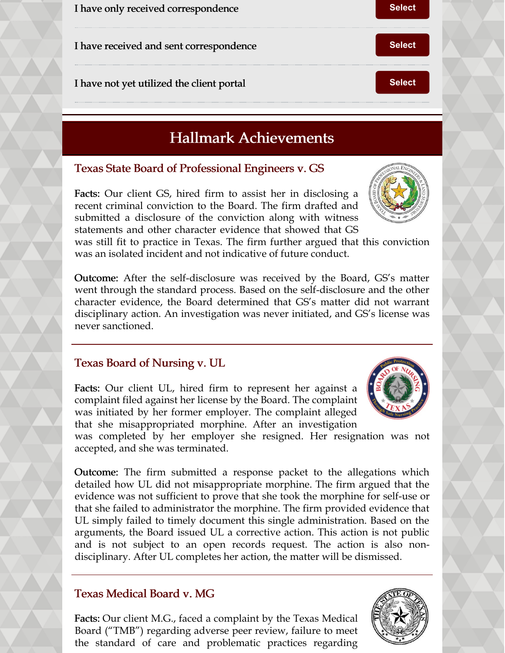I have received and sent correspondence **[Select](https://campaignlp.constantcontact.com/forms/response?id=8MTVuLZxdx2tqY6ViR4pGQ2t9mHnmSeJvoetihzqA34mgvQ_HZxNwsXQ62oafw966vjUnMkuNUWZET8qbLJuXbpbfp487qldsghpeyZqRkAO4Q-22fXP0Wvn5qAWJYTlpVzlu43DJ1KkVyXZsPjK81vOvX5rnrBTQ19djo0jv856VYX2ATXt1A1jwuc_NOefuzWk_BooTyXXN6S9LkQxSg&encVer=1&c=&ch=) Select** 

I have not yet utilized the client portal **[Select](https://campaignlp.constantcontact.com/forms/response?id=8MTVuLZxdx2tqY6ViR4pGQ2t9mHnmSeJvoetihzqA34mgvQ_HZxNwsXQ62oafw966vjUnMkuNUWZET8qbLJuXbpbfp487qldsghpeyZqRkAO4Q-22fXP0Wvn5qAWJYTlpVzlu43DJ1KkVyXZsPjK81vOvX5rnrBTQ19djo0jv856VYX2ATXt1A1jwuc_NOefuzWk_BooTyWrUSvPlZJhEA&encVer=1&c=&ch=) Select** 

# Hallmark Achievements

#### Texas State Board of Professional Engineers v. GS

Facts: Our client GS, hired firm to assist her in disclosing a recent criminal conviction to the Board. The firm drafted and submitted a disclosure of the conviction along with witness statements and other character evidence that showed that GS

was still fit to practice in Texas. The firm further argued that this conviction was an isolated incident and not indicative of future conduct.

Outcome: After the self-disclosure was received by the Board, GS's matter went through the standard process. Based on the self-disclosure and the other character evidence, the Board determined that GS's matter did not warrant disciplinary action. An investigation was never initiated, and GS's license was never sanctioned.

#### Texas Board of Nursing v. UL

Facts: Our client UL, hired firm to represent her against a complaint filed against her license by the Board. The complaint was initiated by her former employer. The complaint alleged that she misappropriated morphine. After an investigation

was completed by her employer she resigned. Her resignation was not accepted, and she was terminated.

Outcome: The firm submitted a response packet to the allegations which detailed how UL did not misappropriate morphine. The firm argued that the evidence was not sufficient to prove that she took the morphine for self-use or that she failed to administrator the morphine. The firm provided evidence that UL simply failed to timely document this single administration. Based on the arguments, the Board issued UL a corrective action. This action is not public and is not subject to an open records request. The action is also nondisciplinary. After UL completes her action, the matter will be dismissed.

### Texas Medical Board v. MG

Facts: Our client M.G., faced a complaint by the Texas Medical Board ("TMB") regarding adverse peer review, failure to meet the standard of care and problematic practices regarding





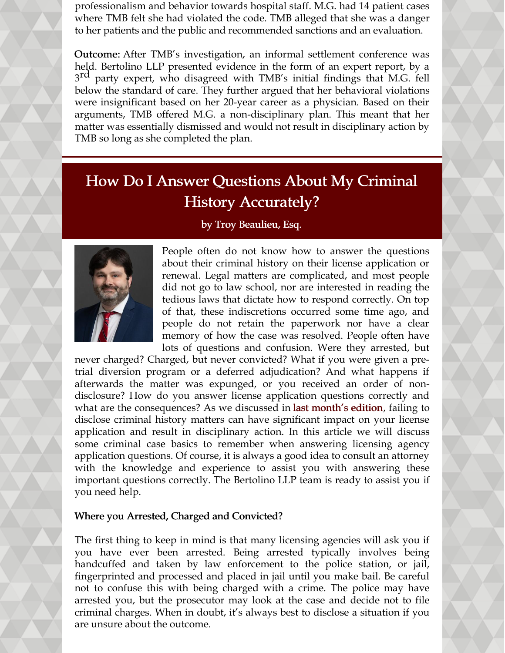professionalism and behavior towards hospital staff. M.G. had 14 patient cases where TMB felt she had violated the code. TMB alleged that she was a danger to her patients and the public and recommended sanctions and an evaluation.

Outcome: After TMB's investigation, an informal settlement conference was held. Bertolino LLP presented evidence in the form of an expert report, by a 3<sup>rd</sup> party expert, who disagreed with TMB's initial findings that M.G. fell below the standard of care. They further argued that her behavioral violations were insignificant based on her 20-year career as a physician. Based on their arguments, TMB offered M.G. a non-disciplinary plan. This meant that her matter was essentially dismissed and would not result in disciplinary action by TMB so long as she completed the plan.

# How Do I Answer Questions About My Criminal History Accurately?

#### by Troy Beaulieu, Esq.



People often do not know how to answer the questions about their criminal history on their license application or renewal. Legal matters are complicated, and most people did not go to law school, nor are interested in reading the tedious laws that dictate how to respond correctly. On top of that, these indiscretions occurred some time ago, and people do not retain the paperwork nor have a clear memory of how the case was resolved. People often have lots of questions and confusion. Were they arrested, but

never charged? Charged, but never convicted? What if you were given a pretrial diversion program or a deferred adjudication? And what happens if afterwards the matter was expunged, or you received an order of nondisclosure? How do you answer license application questions correctly and what are the consequences? As we discussed in **last [month's](https://www.belolaw.com/wp-content/uploads/2022/03/March-2022-Bertolino-Law-Firm-Newsletter.pdf) edition**, failing to disclose criminal history matters can have significant impact on your license application and result in disciplinary action. In this article we will discuss some criminal case basics to remember when answering licensing agency application questions. Of course, it is always a good idea to consult an attorney with the knowledge and experience to assist you with answering these important questions correctly. The Bertolino LLP team is ready to assist you if you need help.

#### Where you Arrested, Charged and Convicted?

The first thing to keep in mind is that many licensing agencies will ask you if you have ever been arrested. Being arrested typically involves being handcuffed and taken by law enforcement to the police station, or jail, fingerprinted and processed and placed in jail until you make bail. Be careful not to confuse this with being charged with a crime. The police may have arrested you, but the prosecutor may look at the case and decide not to file criminal charges. When in doubt, it's always best to disclose a situation if you are unsure about the outcome.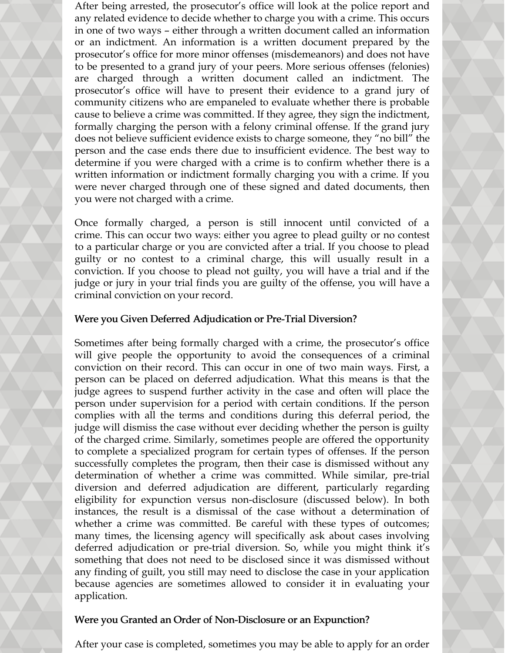After being arrested, the prosecutor's office will look at the police report and any related evidence to decide whether to charge you with a crime. This occurs in one of two ways – either through a written document called an information or an indictment. An information is a written document prepared by the prosecutor's office for more minor offenses (misdemeanors) and does not have to be presented to a grand jury of your peers. More serious offenses (felonies) are charged through a written document called an indictment. The prosecutor's office will have to present their evidence to a grand jury of community citizens who are empaneled to evaluate whether there is probable cause to believe a crime was committed. If they agree, they sign the indictment, formally charging the person with a felony criminal offense. If the grand jury does not believe sufficient evidence exists to charge someone, they "no bill" the person and the case ends there due to insufficient evidence. The best way to determine if you were charged with a crime is to confirm whether there is a written information or indictment formally charging you with a crime. If you were never charged through one of these signed and dated documents, then you were not charged with a crime.

Once formally charged, a person is still innocent until convicted of a crime. This can occur two ways: either you agree to plead guilty or no contest to a particular charge or you are convicted after a trial. If you choose to plead guilty or no contest to a criminal charge, this will usually result in a conviction. If you choose to plead not guilty, you will have a trial and if the judge or jury in your trial finds you are guilty of the offense, you will have a criminal conviction on your record.

#### Were you Given Deferred Adjudication or Pre-Trial Diversion?

Sometimes after being formally charged with a crime, the prosecutor's office will give people the opportunity to avoid the consequences of a criminal conviction on their record. This can occur in one of two main ways. First, a person can be placed on deferred adjudication. What this means is that the judge agrees to suspend further activity in the case and often will place the person under supervision for a period with certain conditions. If the person complies with all the terms and conditions during this deferral period, the judge will dismiss the case without ever deciding whether the person is guilty of the charged crime. Similarly, sometimes people are offered the opportunity to complete a specialized program for certain types of offenses. If the person successfully completes the program, then their case is dismissed without any determination of whether a crime was committed. While similar, pre-trial diversion and deferred adjudication are different, particularly regarding eligibility for expunction versus non-disclosure (discussed below). In both instances, the result is a dismissal of the case without a determination of whether a crime was committed. Be careful with these types of outcomes; many times, the licensing agency will specifically ask about cases involving deferred adjudication or pre-trial diversion. So, while you might think it's something that does not need to be disclosed since it was dismissed without any finding of guilt, you still may need to disclose the case in your application because agencies are sometimes allowed to consider it in evaluating your application.

#### Were you Granted an Order of Non-Disclosure or an Expunction?

After your case is completed, sometimes you may be able to apply for an order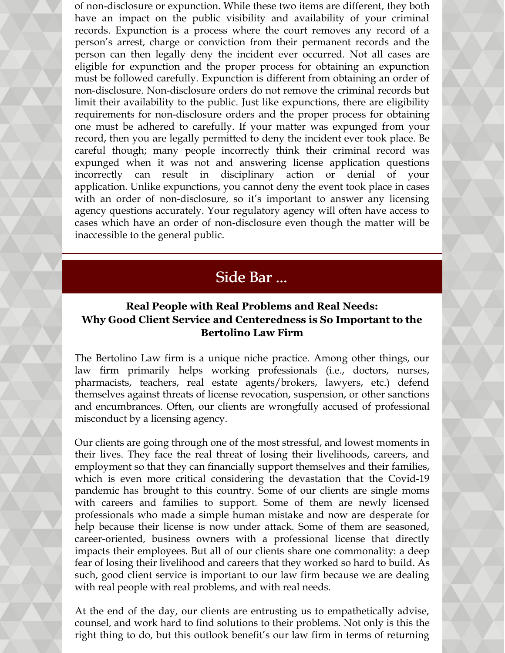of non-disclosure or expunction. While these two items are different, they both have an impact on the public visibility and availability of your criminal records. Expunction is a process where the court removes any record of a person's arrest, charge or conviction from their permanent records and the person can then legally deny the incident ever occurred. Not all cases are eligible for expunction and the proper process for obtaining an expunction must be followed carefully. Expunction is different from obtaining an order of non-disclosure. Non-disclosure orders do not remove the criminal records but limit their availability to the public. Just like expunctions, there are eligibility requirements for non-disclosure orders and the proper process for obtaining one must be adhered to carefully. If your matter was expunged from your record, then you are legally permitted to deny the incident ever took place. Be careful though; many people incorrectly think their criminal record was expunged when it was not and answering license application questions incorrectly can result in disciplinary action or denial of your application. Unlike expunctions, you cannot deny the event took place in cases with an order of non-disclosure, so it's important to answer any licensing agency questions accurately. Your regulatory agency will often have access to cases which have an order of non-disclosure even though the matter will be inaccessible to the general public.

## Side Bar ...

#### **Real People with Real Problems and Real Needs: Why Good Client Service and Centeredness is So Important to the Bertolino Law Firm**

The Bertolino Law firm is a unique niche practice. Among other things, our law firm primarily helps working professionals (i.e., doctors, nurses, pharmacists, teachers, real estate agents/brokers, lawyers, etc.) defend themselves against threats of license revocation, suspension, or other sanctions and encumbrances. Often, our clients are wrongfully accused of professional misconduct by a licensing agency.

Our clients are going through one of the most stressful, and lowest moments in their lives. They face the real threat of losing their livelihoods, careers, and employment so that they can financially support themselves and their families, which is even more critical considering the devastation that the Covid-19 pandemic has brought to this country. Some of our clients are single moms with careers and families to support. Some of them are newly licensed professionals who made a simple human mistake and now are desperate for help because their license is now under attack. Some of them are seasoned, career-oriented, business owners with a professional license that directly impacts their employees. But all of our clients share one commonality: a deep fear of losing their livelihood and careers that they worked so hard to build. As such, good client service is important to our law firm because we are dealing with real people with real problems, and with real needs.

At the end of the day, our clients are entrusting us to empathetically advise, counsel, and work hard to find solutions to their problems. Not only is this the right thing to do, but this outlook benefit's our law firm in terms of returning